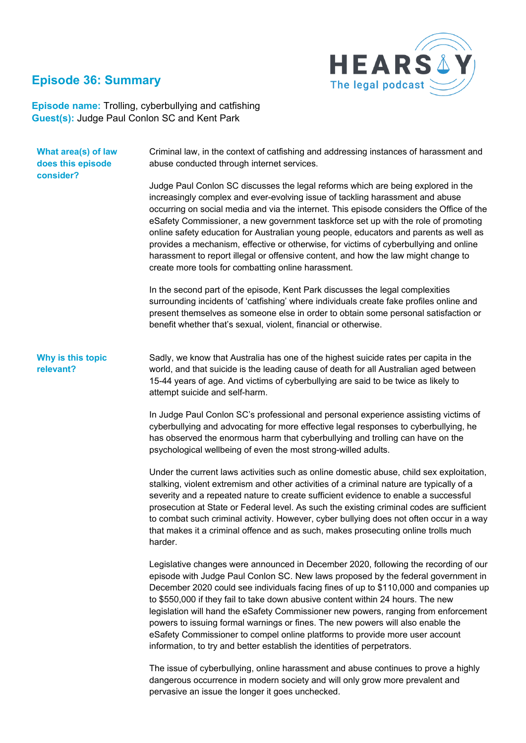# **Episode 36: Summary**



**Episode name:** Trolling, cyberbullying and catfishing **Guest(s):** Judge Paul Conlon SC and Kent Park

| What area(s) of law<br>does this episode<br>consider? | Criminal law, in the context of catfishing and addressing instances of harassment and<br>abuse conducted through internet services.                                                                                                                                                                                                                                                                                                                                                                                                                                                                                                                                                       |
|-------------------------------------------------------|-------------------------------------------------------------------------------------------------------------------------------------------------------------------------------------------------------------------------------------------------------------------------------------------------------------------------------------------------------------------------------------------------------------------------------------------------------------------------------------------------------------------------------------------------------------------------------------------------------------------------------------------------------------------------------------------|
|                                                       | Judge Paul Conlon SC discusses the legal reforms which are being explored in the<br>increasingly complex and ever-evolving issue of tackling harassment and abuse<br>occurring on social media and via the internet. This episode considers the Office of the<br>eSafety Commissioner, a new government taskforce set up with the role of promoting<br>online safety education for Australian young people, educators and parents as well as<br>provides a mechanism, effective or otherwise, for victims of cyberbullying and online<br>harassment to report illegal or offensive content, and how the law might change to<br>create more tools for combatting online harassment.        |
|                                                       | In the second part of the episode, Kent Park discusses the legal complexities<br>surrounding incidents of 'catfishing' where individuals create fake profiles online and<br>present themselves as someone else in order to obtain some personal satisfaction or<br>benefit whether that's sexual, violent, financial or otherwise.                                                                                                                                                                                                                                                                                                                                                        |
| Why is this topic<br>relevant?                        | Sadly, we know that Australia has one of the highest suicide rates per capita in the<br>world, and that suicide is the leading cause of death for all Australian aged between<br>15-44 years of age. And victims of cyberbullying are said to be twice as likely to<br>attempt suicide and self-harm.                                                                                                                                                                                                                                                                                                                                                                                     |
|                                                       | In Judge Paul Conlon SC's professional and personal experience assisting victims of<br>cyberbullying and advocating for more effective legal responses to cyberbullying, he<br>has observed the enormous harm that cyberbullying and trolling can have on the<br>psychological wellbeing of even the most strong-willed adults.                                                                                                                                                                                                                                                                                                                                                           |
|                                                       | Under the current laws activities such as online domestic abuse, child sex exploitation,<br>stalking, violent extremism and other activities of a criminal nature are typically of a<br>severity and a repeated nature to create sufficient evidence to enable a successful<br>prosecution at State or Federal level. As such the existing criminal codes are sufficient<br>to combat such criminal activity. However, cyber bullying does not often occur in a way<br>that makes it a criminal offence and as such, makes prosecuting online trolls much<br>harder.                                                                                                                      |
|                                                       | Legislative changes were announced in December 2020, following the recording of our<br>episode with Judge Paul Conlon SC. New laws proposed by the federal government in<br>December 2020 could see individuals facing fines of up to \$110,000 and companies up<br>to \$550,000 if they fail to take down abusive content within 24 hours. The new<br>legislation will hand the eSafety Commissioner new powers, ranging from enforcement<br>powers to issuing formal warnings or fines. The new powers will also enable the<br>eSafety Commissioner to compel online platforms to provide more user account<br>information, to try and better establish the identities of perpetrators. |
|                                                       | The issue of cyberbullying, online harassment and abuse continues to prove a highly                                                                                                                                                                                                                                                                                                                                                                                                                                                                                                                                                                                                       |

dangerous occurrence in modern society and will only grow more prevalent and pervasive an issue the longer it goes unchecked.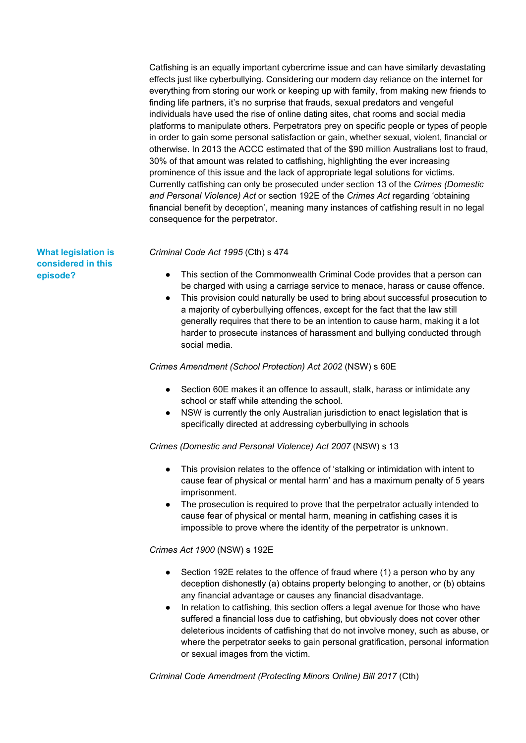Catfishing is an equally important cybercrime issue and can have similarly devastating effects just like cyberbullying. Considering our modern day reliance on the internet for everything from storing our work or keeping up with family, from making new friends to finding life partners, it's no surprise that frauds, sexual predators and vengeful individuals have used the rise of online dating sites, chat rooms and social media platforms to manipulate others. Perpetrators prey on specific people or types of people in order to gain some personal satisfaction or gain, whether sexual, violent, financial or otherwise. In 2013 the ACCC estimated that of the \$90 million Australians lost to fraud, 30% of that amount was related to catfishing, highlighting the ever increasing prominence of this issue and the lack of appropriate legal solutions for victims. Currently catfishing can only be prosecuted under section 13 of the *Crimes (Domestic and Personal Violence) Act* or section 192E of the *Crimes Act* regarding 'obtaining financial benefit by deception', meaning many instances of catfishing result in no legal consequence for the perpetrator.

*Criminal Code Act 1995* (Cth) s 474

- This section of the Commonwealth Criminal Code provides that a person can be charged with using a carriage service to menace, harass or cause offence.
- This provision could naturally be used to bring about successful prosecution to a majority of cyberbullying offences, except for the fact that the law still generally requires that there to be an intention to cause harm, making it a lot harder to prosecute instances of harassment and bullying conducted through social media.

#### *Crimes Amendment (School Protection) Act 2002* (NSW) s 60E

- Section 60E makes it an offence to assault, stalk, harass or intimidate any school or staff while attending the school.
- NSW is currently the only Australian jurisdiction to enact legislation that is specifically directed at addressing cyberbullying in schools

*Crimes (Domestic and Personal Violence) Act 2007* (NSW) s 13

- This provision relates to the offence of 'stalking or intimidation with intent to cause fear of physical or mental harm' and has a maximum penalty of 5 years imprisonment.
- The prosecution is required to prove that the perpetrator actually intended to cause fear of physical or mental harm, meaning in catfishing cases it is impossible to prove where the identity of the perpetrator is unknown.

### *Crimes Act 1900* (NSW) s 192E

- Section 192E relates to the offence of fraud where (1) a person who by any deception dishonestly (a) obtains property belonging to another, or (b) obtains any financial advantage or causes any financial disadvantage.
- In relation to catfishing, this section offers a legal avenue for those who have suffered a financial loss due to catfishing, but obviously does not cover other deleterious incidents of catfishing that do not involve money, such as abuse, or where the perpetrator seeks to gain personal gratification, personal information or sexual images from the victim.

*Criminal Code Amendment (Protecting Minors Online) Bill 2017* (Cth)

## **What legislation is considered in this episode?**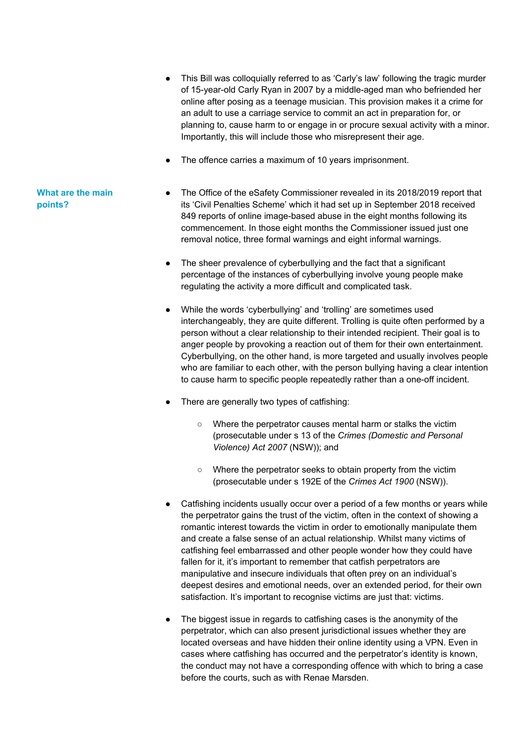- This Bill was colloquially referred to as 'Carly's law' following the tragic murder of 15-year-old Carly Ryan in 2007 by a middle-aged man who befriended her online after posing as a teenage musician. This provision makes it a crime for an adult to use a carriage service to commit an act in preparation for, or planning to, cause harm to or engage in or procure sexual activity with a minor. Importantly, this will include those who misrepresent their age.
- The offence carries a maximum of 10 years imprisonment.
- The Office of the eSafety Commissioner revealed in its 2018/2019 report that its 'Civil Penalties Scheme' which it had set up in September 2018 received 849 reports of online image-based abuse in the eight months following its commencement. In those eight months the Commissioner issued just one removal notice, three formal warnings and eight informal warnings.
	- The sheer prevalence of cyberbullying and the fact that a significant percentage of the instances of cyberbullying involve young people make regulating the activity a more difficult and complicated task.
	- While the words 'cyberbullying' and 'trolling' are sometimes used interchangeably, they are quite different. Trolling is quite often performed by a person without a clear relationship to their intended recipient. Their goal is to anger people by provoking a reaction out of them for their own entertainment. Cyberbullying, on the other hand, is more targeted and usually involves people who are familiar to each other, with the person bullying having a clear intention to cause harm to specific people repeatedly rather than a one-off incident.
	- There are generally two types of catfishing:
		- Where the perpetrator causes mental harm or stalks the victim (prosecutable under s 13 of the *Crimes (Domestic and Personal Violence) Act 2007* (NSW)); and
		- Where the perpetrator seeks to obtain property from the victim (prosecutable under s 192E of the *Crimes Act 1900* (NSW)).
	- Catfishing incidents usually occur over a period of a few months or years while the perpetrator gains the trust of the victim, often in the context of showing a romantic interest towards the victim in order to emotionally manipulate them and create a false sense of an actual relationship. Whilst many victims of catfishing feel embarrassed and other people wonder how they could have fallen for it, it's important to remember that catfish perpetrators are manipulative and insecure individuals that often prey on an individual's deepest desires and emotional needs, over an extended period, for their own satisfaction. It's important to recognise victims are just that: victims.
	- The biggest issue in regards to catfishing cases is the anonymity of the perpetrator, which can also present jurisdictional issues whether they are located overseas and have hidden their online identity using a VPN. Even in cases where catfishing has occurred and the perpetrator's identity is known, the conduct may not have a corresponding offence with which to bring a case before the courts, such as with Renae Marsden.

### **What are the main points?**